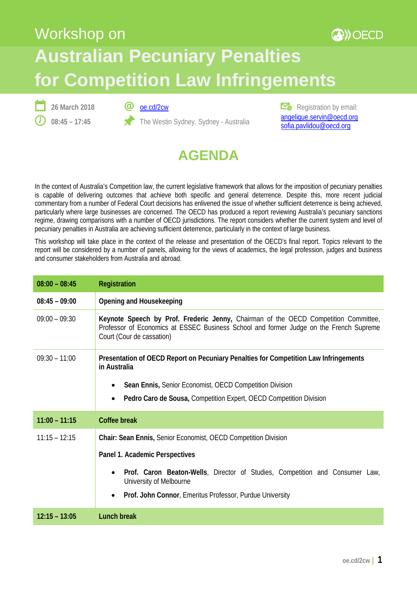## Workshop on **AD** OECD **Australian Pecuniary Penalties for Competition Law Infringements**



@ [oe.cd/2cw](http://oe.cd/2cw)

The Westin Sydney, Sydney - Australia

 $\mathbb{Z}_{\bullet}$  Registration by email: [angelique.servin@oecd.org](mailto:Angelique.SERVIN@oecd.org) [sofia.pavlidou@oecd.org](mailto:Sofia.PAVLIDOU@oecd.org)



In the context of Australia's Competition law, the current legislative framework that allows for the imposition of pecuniary penalties is capable of delivering outcomes that achieve both specific and general deterrence. Despite this, more recent judicial commentary from a number of Federal Court decisions has enlivened the issue of whether sufficient deterrence is being achieved, particularly where large businesses are concerned. The OECD has produced a report reviewing Australia's pecuniary sanctions regime, drawing comparisons with a number of OECD jurisdictions. The report considers whether the current system and level of pecuniary penalties in Australia are achieving sufficient deterrence, particularly in the context of large business.

This workshop will take place in the context of the release and presentation of the OECD's final report. Topics relevant to the report will be considered by a number of panels, allowing for the views of academics, the legal profession, judges and business and consumer stakeholders from Australia and abroad.

| $08:00 - 08:45$ | Registration                                                                                                                                                                                                                                                            |
|-----------------|-------------------------------------------------------------------------------------------------------------------------------------------------------------------------------------------------------------------------------------------------------------------------|
| $08:45 - 09:00$ | Opening and Housekeeping                                                                                                                                                                                                                                                |
| $09:00 - 09:30$ | Keynote Speech by Prof. Frederic Jenny, Chairman of the OECD Competition Committee,<br>Professor of Economics at ESSEC Business School and former Judge on the French Supreme<br>Court (Cour de cassation)                                                              |
| $09:30 - 11:00$ | Presentation of OECD Report on Pecuniary Penalties for Competition Law Infringements<br>in Australia<br>Sean Ennis, Senior Economist, OECD Competition Division<br>Pedro Caro de Sousa, Competition Expert, OECD Competition Division                                   |
| $11:00 - 11:15$ | Coffee break                                                                                                                                                                                                                                                            |
| $11:15 - 12:15$ | Chair: Sean Ennis, Senior Economist, OECD Competition Division<br>Panel 1. Academic Perspectives<br>Prof. Caron Beaton-Wells, Director of Studies, Competition and Consumer Law,<br>University of Melbourne<br>Prof. John Connor, Emeritus Professor, Purdue University |
| $12:15 - 13:05$ | <b>Lunch break</b>                                                                                                                                                                                                                                                      |